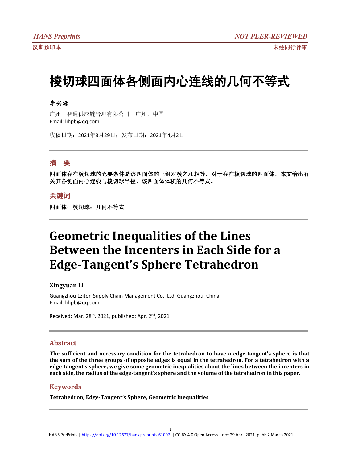# 棱切球四面体各侧面内心连线的几何不等式

## 李兴源

广州一智通供应链管理有限公司,广州,中国 Email: lihpb@qq.com

收稿日期:2021年3月29日;发布日期:2021年4月2日

# 摘 要

四面体存在棱切球的充要条件是该四面体的三组对棱之和相等。对于存在棱切球的四面体,本文给出有 关其各侧面内心连线与棱切球半径、该四面体体积的几何不等式。

# 关键词

四面体;棱切球;几何不等式

# **Geometric Inequalities of the Lines Between the Incenters in Each Side for a Edge-Tangent's Sphere Tetrahedron**

### **Xingyuan Li**

Guangzhou 1ziton Supply Chain Management Co., Ltd, Guangzhou, China Email: lihpb@qq.com

Received: Mar. 28<sup>th</sup>, 2021, published: Apr. 2<sup>nd</sup>, 2021

#### **Abstract**

**The sufficient and necessary condition for the tetrahedron to have a edge-tangent's sphere is that** the sum of the three groups of opposite edges is equal in the tetrahedron. For a tetrahedron with a **edge-tangent's sphere, we give some geometric inequalities about the lines between the incenters in each side, the radius of the edge-tangent's sphere and the volume of the tetrahedron in this paper.**

### **Keywords**

**Tetrahedron, Edge-Tangent's Sphere, Geometric Inequalities**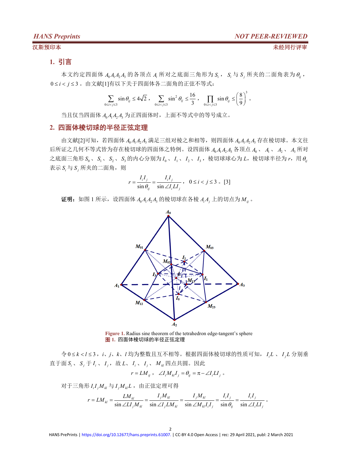#### 汉斯预印本 未经同行评审

# **1.** 引言

本文约定四面体  $A_0A_1A_2A_3$  的各顶点  $A_i$  所对之底面三角形为  $S_i$ ,  $S_i$  与  $S_j$  所夹的二面角表为 $\theta_i$ , 0 ≤ *i* < *j* ≤ 3 。由文献[1]有以下关于四面体各二面角的正弦不等式:

$$
\sum_{0 \le i < j \le 3} \sin \theta_{ij} \le 4\sqrt{2} \ , \quad \sum_{0 \le i < j \le 3} \sin^2 \theta_{ij} \le \frac{16}{3} \ , \quad \prod_{0 \le i < j \le 3} \sin \theta_{ij} \le \left(\frac{8}{9}\right)^3 \ .
$$

当且仅当四面体 *A*0*A*1*A*2*A*<sup>3</sup> 为正四面体时,上面不等式中的等号成立。

#### **2.** 四面体棱切球的半径正弦定理

由文献[2]可知,若四面体 *A*0*A*1*A*2*A*<sup>3</sup> 满足三组对棱之和相等,则四面体 *A*0*A*1*A*2*A*<sup>3</sup> 存在棱切球。本文往 后所证之几何不等式皆为存在棱切球的四面体之特例。设四面体 *A*0*A*1*A*2*A*<sup>3</sup> 各顶点 *A*<sup>0</sup> 、 *A*<sup>1</sup> 、 *A*<sup>2</sup> 、 *A*<sup>3</sup> 所对 之底面三角形  $S_0$ 、 $S_1$ 、 $S_2$ 、 $S_3$ 的内心分别为 $I_0$ 、 $I_1$ 、 $I_2$ 、 $I_3$ ,棱切球球心为  $L$ ,棱切球半径为  $r$ ,用 $\theta_{ij}$ 表示  $S_i$  与  $S_j$  所夹的二面角, 则

$$
r = \frac{I_i I_j}{\sin \theta_{ij}} = \frac{I_i I_j}{\sin \angle I_i L I_j}, \quad 0 \le i < j \le 3 \quad [3]
$$

证明: 如图 1 所示, 设四面体  $A_0A_1A_2A_3$  的棱切球在各棱  $A_iA_j$  上的切点为 $M_{ij}$ .



**Figure 1.** Radius sine theorem of the tetrahedron edge-tangent's sphere 图 **1.** 四面体棱切球的半径正弦定理

令 0 *k l* 3,*i*、*j*、*k*、*l* 均为整数且互不相等。根据四面体棱切球的性质可知, *<sup>i</sup> I L* 、 *<sup>j</sup> I L* 分别垂 直于面  $S_i$ 、  $S_i$  于  $I_i$ 、  $I_i$ , 故  $L$ 、  $I_i$ 、  $I_i$ 、  $M_u$  四点共圆。因此

$$
r = LM_{ij} , \quad \angle I_i M_{kl} I_j = \theta_{ij} = \pi - \angle I_i L I_j \ .
$$

 $\overline{X}$   $\overline{Y}$   $\equiv$   $\overline{A}$   $\overline{B}$   $\overline{B}$   $I$   $\overline{I}$   $M$   $\overline{I}$   $I$   $\equiv$   $\overline{A}$   $\overline{B}$   $\overline{C}$   $\equiv$   $\overline{B}$   $\overline{C}$   $\equiv$   $\overline{B}$   $\overline{C}$   $\equiv$   $\overline{B}$   $\overline{C}$   $\equiv$   $\overline{B}$   $\overline{C}$   $\equiv$   $\overline{D}$   $\$ 

$$
r = LM_{kl} = \frac{LM_{kl}}{\sin \angle LI_{j}M_{kl}} = \frac{I_{j}M_{kl}}{\sin \angle I_{j}LM_{kl}} = \frac{I_{j}M_{kl}}{\sin \angle M_{kl}I_{i}I_{j}} = \frac{I_{i}I_{j}}{\sin \theta_{ij}} = \frac{I_{i}I_{j}}{\sin \angle I_{i}LI_{j}}.
$$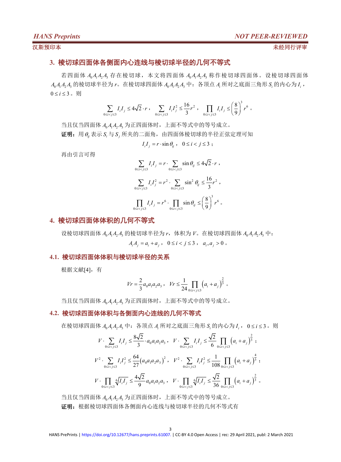#### 汉斯预印本 未经同行评审

## **3.** 棱切球四面体各侧面内心连线与棱切球半径的几何不等式

若四面体 *A*0*A*1*A*2*A*<sup>3</sup> 存在棱切球,本文将四面体 *A*0*A*1*A*2*A*<sup>3</sup> 称作棱切球四面体。设棱切球四面体 *A*0*A*1*A*2*A*<sup>3</sup> 的棱切球半径为 *r*。在棱切球四面体 *A*0*A*1*A*2*A*<sup>3</sup> 中:各顶点 *A<sup>i</sup>* 所对之底面三角形 *<sup>i</sup> S* 的内心为 *<sup>i</sup> I* ,  $0 \leq i \leq 3$ 。则

$$
\sum_{0 \le i < j \le 3} I_i I_j \le 4\sqrt{2} \cdot r \ , \quad \sum_{0 \le i < j \le 3} I_i I_j^2 \le \frac{16}{3} r^2 \ , \quad \prod_{0 \le i < j \le 3} I_i I_j \le \left(\frac{8}{9}\right)^3 r^6 \ .
$$

当且仅当四面体 *A*0*A*1*A*2*A*<sup>3</sup> 为正四面体时,上面不等式中的等号成立。

 $\overline{\mathbf{u}}$ 明: 用 $\theta_i$ 表示  $S_i$ 与  $S_j$  所夹的二面角, 由四面体棱切球的半径正弦定理可知

$$
I_i I_j = r \cdot \sin \theta_{ij} , \quad 0 \le i < j \le 3 ;
$$

再由引言可得

$$
\sum_{0 \le i < j \le 3} I_i I_j = r \cdot \sum_{0 \le i < j \le 3} \sin \theta_{ij} \le 4\sqrt{2} \cdot r ,
$$
  

$$
\sum_{0 \le i < j \le 3} I_i I_j^2 = r^2 \cdot \sum_{0 \le i < j \le 3} \sin^2 \theta_{ij} \le \frac{16}{3} r^2 ,
$$
  

$$
\prod_{0 \le i < j \le 3} I_i I_j = r^6 \cdot \prod_{0 \le i < j \le 3} \sin \theta_{ij} \le \left(\frac{8}{9}\right)^3 r^6 ,
$$

#### **4.** 棱切球四面体体积的几何不等式

设棱切球四面体 *A*<sub>0</sub>*A*<sub>1</sub>*A*<sub>2</sub> A<sub>2</sub> 的棱切球半径为 r,体积为 *V*。在棱切球四面体 *A*<sub>0</sub>*A*<sub>1</sub>*A*<sub>2</sub> 中:  $A_i A_i = a_i + a_i, \quad 0 \le i < j \le 3, \quad a_i, a_j > 0$ 

#### **4.1.** 棱切球四面体体积与棱切球半径的关系

根据文献[4],有

$$
Vr = \frac{2}{3}a_0a_1a_2a_3 , \quad Vr \le \frac{1}{24} \prod_{0 \le i < j \le 3} \left( a_i + a_j \right)^{\frac{2}{3}} .
$$

当且仅当四面体 *A*0*A*1*A*2*A*<sup>3</sup> 为正四面体时,上面不等式中的等号成立。

#### **4.2.** 棱切球四面体体积与各侧面内心连线的几何不等式

在棱切球四面体 *A*0*A*1*A*2*A*<sup>3</sup> 中:各顶点 *A<sup>i</sup>* 所对之底面三角形 *<sup>i</sup> S* 的内心为 *<sup>i</sup> I* , 0 *i* 3。则

$$
V \cdot \sum_{0 \le i < j \le 3} I_i I_j \le \frac{8\sqrt{2}}{3} \cdot a_0 a_1 a_2 a_3 \,, \quad V \cdot \sum_{0 \le i < j \le 3} I_i I_j \le \frac{\sqrt{2}}{6} \prod_{0 \le i < j \le 3} \left( a_i + a_j \right)^{\frac{2}{3}} \,;
$$
\n
$$
V^2 \cdot \sum_{0 \le i < j \le 3} I_i I_j^2 \le \frac{64}{27} \left( a_0 a_1 a_2 a_3 \right)^2 \,, \quad V^2 \cdot \sum_{0 \le i < j \le 3} I_i I_j^2 \le \frac{1}{108} \prod_{0 \le i < j \le 3} \left( a_i + a_j \right)^{\frac{4}{3}} \,;
$$
\n
$$
V \cdot \prod_{0 \le i < j \le 3} \sqrt[6]{I_i I_j} \le \frac{4\sqrt{2}}{9} a_0 a_1 a_2 a_3 \,, \quad V \cdot \prod_{0 \le i < j \le 3} \sqrt[6]{I_i I_j} \le \frac{\sqrt{2}}{36} \prod_{0 \le i < j \le 3} \left( a_i + a_j \right)^{\frac{2}{3}} \,.
$$

当且仅当四面体 *A*0*A*1*A*2*A*<sup>3</sup> 为正四面体时,上面不等式中的等号成立。 证明:根据棱切球四面体各侧面内心连线与棱切球半径的几何不等式有